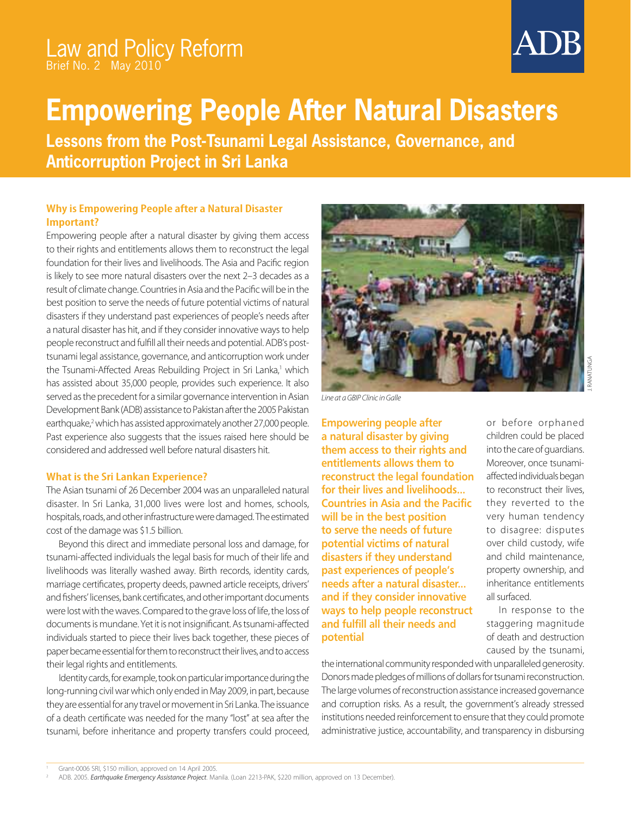## Law and Policy Reform Brief No. 2 May 2010

# **Empowering People After Natural Disasters**

**Lessons from the Post-Tsunami Legal Assistance, Governance, and Anticorruption Project in Sri Lanka**

### **Why is Empowering People after a Natural Disaster Important?**

Empowering people after a natural disaster by giving them access to their rights and entitlements allows them to reconstruct the legal foundation for their lives and livelihoods. The Asia and Pacific region is likely to see more natural disasters over the next 2–3 decades as a result of climate change. Countries in Asia and the Pacific will be in the best position to serve the needs of future potential victims of natural disasters if they understand past experiences of people's needs after a natural disaster has hit, and if they consider innovative ways to help people reconstruct and fulfill all their needs and potential. ADB's posttsunami legal assistance, governance, and anticorruption work under the Tsunami-Affected Areas Rebuilding Project in Sri Lanka,<sup>1</sup> which has assisted about 35,000 people, provides such experience. It also served as the precedent for a similar governance intervention in Asian Development Bank (ADB) assistance to Pakistan after the 2005 Pakistan earthquake,<sup>2</sup> which has assisted approximately another 27,000 people. Past experience also suggests that the issues raised here should be considered and addressed well before natural disasters hit.

#### **What is the Sri Lankan Experience?**

The Asian tsunami of 26 December 2004 was an unparalleled natural disaster. In Sri Lanka, 31,000 lives were lost and homes, schools, hospitals, roads, and other infrastructure were damaged. The estimated cost of the damage was \$1.5 billion.

Beyond this direct and immediate personal loss and damage, for tsunami-affected individuals the legal basis for much of their life and livelihoods was literally washed away. Birth records, identity cards, marriage certificates, property deeds, pawned article receipts, drivers' and fishers' licenses, bank certificates, and other important documents were lost with the waves. Compared to the grave loss of life, the loss of documents is mundane. Yet it is not insignificant. As tsunami-affected individuals started to piece their lives back together, these pieces of paper became essential for them to reconstruct their lives, and to access their legal rights and entitlements.

Identity cards, for example, took on particular importance during the long-running civil war which only ended in May 2009, in part, because they are essential for any travel or movement in Sri Lanka. The issuance of a death certificate was needed for the many "lost" at sea after the tsunami, before inheritance and property transfers could proceed,



Line at a GBIP Clinic in Galle

**Empowering people after** a natural disaster by giving them access to their rights and entitlements allows them to reconstruct the legal foundation for their lives and livelihoods... **Countries in Asia and the Pacific** will be in the best position to serve the needs of future potential victims of natural disasters if they understand past experiences of people's needs after a natural disaster... and if they consider innovative ways to help people reconstruct and fulfill all their needs and **potential** 

or before orphaned children could be placed into the care of guardians. Moreover, once tsunamiaffected individuals began to reconstruct their lives, they reverted to the very human tendency to disagree: disputes over child custody, wife and child maintenance, property ownership, and inheritance entitlements all surfaced.

In response to the staggering magnitude of death and destruction caused by the tsunami,

the international community responded with unparalleled generosity. Donors made pledges of millions of dollars for tsunami reconstruction. The large volumes of reconstruction assistance increased governance and corruption risks. As a result, the government's already stressed institutions needed reinforcement to ensure that they could promote administrative justice, accountability, and transparency in disbursing

Grant-0006 SRI, \$150 million, approved on 14 April 2005.

ADB. 2005. Earthquake Emergency Assistance Project. Manila. (Loan 2213-PAK, \$220 million, approved on 13 December).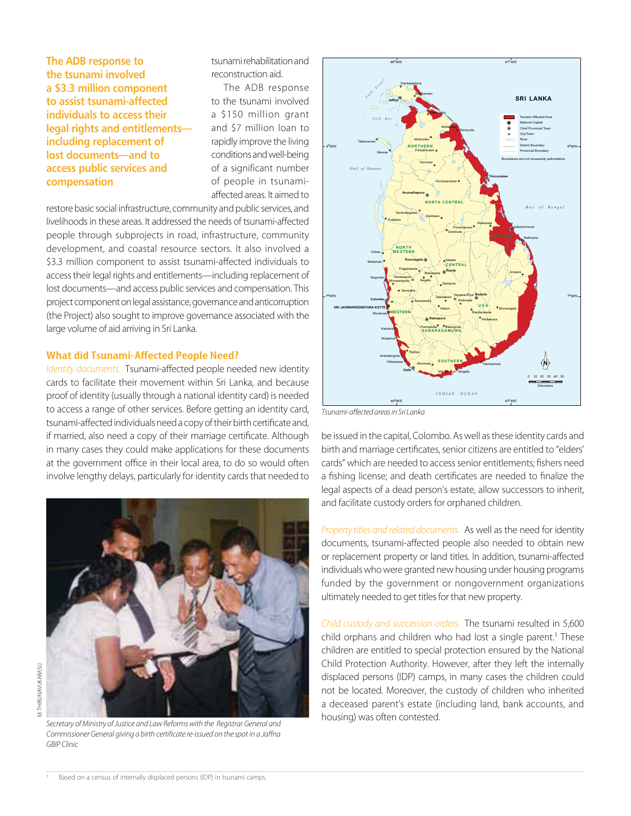The ADB response to the tsunami involved a \$3.3 million component to assist tsunami-affected individuals to access their legal rights and entitlements including replacement of lost documents—and to access public services and **compensation** 

tsunami rehabilitation and reconstruction aid.

The ADB response to the tsunami involved a \$150 million grant and \$7 million loan to rapidly improve the living conditions and well-being of a significant number of people in tsunamiaffected areas. It aimed to

restore basic social infrastructure, community and public services, and livelihoods in these areas. It addressed the needs of tsunami-affected people through subprojects in road, infrastructure, community development, and coastal resource sectors. It also involved a \$3.3 million component to assist tsunami-affected individuals to access their legal rights and entitlements—including replacement of lost documents—and access public services and compensation. This project component on legal assistance, governance and anticorruption (the Project) also sought to improve governance associated with the large volume of aid arriving in Sri Lanka.

#### **What did Tsunami-Affected People Need?**

Identity documents. Tsunami-affected people needed new identity cards to facilitate their movement within Sri Lanka, and because proof of identity (usually through a national identity card) is needed to access a range of other services. Before getting an identity card, tsunami-affected individuals need a copy of their birth certificate and, if married, also need a copy of their marriage certificate. Although in many cases they could make applications for these documents at the government office in their local area, to do so would often involve lengthy delays, particularly for identity cards that needed to



Secretary of Ministry of Justice and Law Reforms with the Registrar General and Commissioner General giving a birth certificate re-issued on the spot in a Jaffna GBIP Clinic



Tsunami-affected areas in Sri Lanka

be issued in the capital, Colombo. As well as these identity cards and birth and marriage certificates, senior citizens are entitled to "elders' cards" which are needed to access senior entitlements; fishers need a fishing license; and death certificates are needed to finalize the legal aspects of a dead person's estate, allow successors to inherit, and facilitate custody orders for orphaned children.

Property titles and related documents. As well as the need for identity documents, tsunami-affected people also needed to obtain new or replacement property or land titles. In addition, tsunami-affected individuals who were granted new housing under housing programs funded by the government or nongovernment organizations ultimately needed to get titles for that new property.

Child custody and succession orders. The tsunami resulted in 5,600 child orphans and children who had lost a single parent.<sup>3</sup> These children are entitled to special protection ensured by the National Child Protection Authority. However, after they left the internally displaced persons (IDP) camps, in many cases the children could not be located. Moreover, the custody of children who inherited a deceased parent's estate (including land, bank accounts, and housing) was often contested.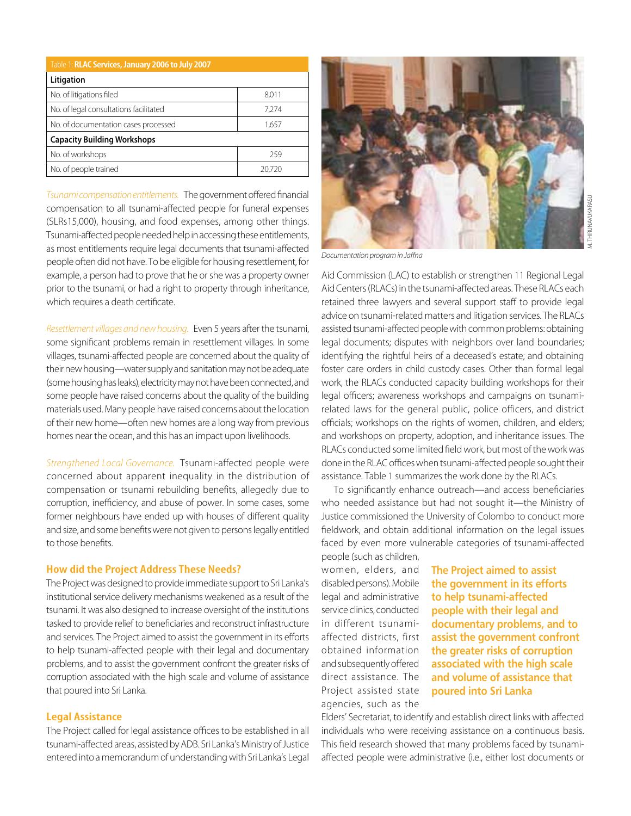| Table 1: RLAC Services, January 2006 to July 2007 |       |  |  |  |
|---------------------------------------------------|-------|--|--|--|
| Litigation                                        |       |  |  |  |
| No. of litigations filed                          | 8,011 |  |  |  |
| No. of legal consultations facilitated            | 7.274 |  |  |  |
| No. of documentation cases processed              | 1,657 |  |  |  |
| <b>Capacity Building Workshops</b>                |       |  |  |  |
| No. of workshops                                  | 259   |  |  |  |
| No. of people trained                             |       |  |  |  |

Tsunami compensation entitlements. The government offered financial compensation to all tsunami-affected people for funeral expenses (SLRs15,000), housing, and food expenses, among other things. Tsunami-affected people needed help in accessing these entitlements, as most entitlements require legal documents that tsunami-affected people often did not have. To be eligible for housing resettlement, for example, a person had to prove that he or she was a property owner prior to the tsunami, or had a right to property through inheritance, which requires a death certificate.

Resettlement villages and new housing. Even 5 years after the tsunami, some significant problems remain in resettlement villages. In some villages, tsunami-affected people are concerned about the quality of their new housing—water supply and sanitation may not be adequate (some housing has leaks), electricity may not have been connected, and some people have raised concerns about the quality of the building materials used. Many people have raised concerns about the location of their new home—often new homes are a long way from previous homes near the ocean, and this has an impact upon livelihoods.

Strengthened Local Governance. Tsunami-affected people were concerned about apparent inequality in the distribution of compensation or tsunami rebuilding benefits, allegedly due to corruption, inefficiency, and abuse of power. In some cases, some former neighbours have ended up with houses of different quality and size, and some benefits were not given to persons legally entitled to those benefits.

#### **How did the Project Address These Needs?**

The Project was designed to provide immediate support to Sri Lanka's institutional service delivery mechanisms weakened as a result of the tsunami. It was also designed to increase oversight of the institutions tasked to provide relief to beneficiaries and reconstruct infrastructure and services. The Project aimed to assist the government in its efforts to help tsunami-affected people with their legal and documentary problems, and to assist the government confront the greater risks of corruption associated with the high scale and volume of assistance that poured into Sri Lanka.

#### **Legal Assistance**

The Project called for legal assistance offices to be established in all tsunami-affected areas, assisted by ADB. Sri Lanka's Ministry of Justice entered into a memorandum of understanding with Sri Lanka's Legal



Documentation program in Jaffna

Aid Commission (LAC) to establish or strengthen 11 Regional Legal Aid Centers (RLACs) in the tsunami-affected areas. These RLACs each retained three lawyers and several support staff to provide legal advice on tsunami-related matters and litigation services. The RLACs assisted tsunami-affected people with common problems: obtaining legal documents; disputes with neighbors over land boundaries; identifying the rightful heirs of a deceased's estate; and obtaining foster care orders in child custody cases. Other than formal legal work, the RLACs conducted capacity building workshops for their legal officers; awareness workshops and campaigns on tsunamirelated laws for the general public, police officers, and district officials; workshops on the rights of women, children, and elders; and workshops on property, adoption, and inheritance issues. The RLACs conducted some limited field work, but most of the work was done in the RLAC offices when tsunami-affected people sought their assistance. Table 1 summarizes the work done by the RLACs.

To significantly enhance outreach—and access beneficiaries who needed assistance but had not sought it—the Ministry of Justice commissioned the University of Colombo to conduct more fieldwork, and obtain additional information on the legal issues faced by even more vulnerable categories of tsunami-affected people (such as children,

women, elders, and disabled persons). Mobile legal and administrative service clinics, conducted in different tsunamiaffected districts, first obtained information and subsequently offered direct assistance. The Project assisted state agencies, such as the

**The Project aimed to assist** the government in its efforts to help tsunami-affected people with their legal and documentary problems, and to assist the government confront the greater risks of corruption associated with the high scale and volume of assistance that **poured into Sri Lanka** 

Elders' Secretariat, to identify and establish direct links with affected individuals who were receiving assistance on a continuous basis. This field research showed that many problems faced by tsunamiaffected people were administrative (i.e., either lost documents or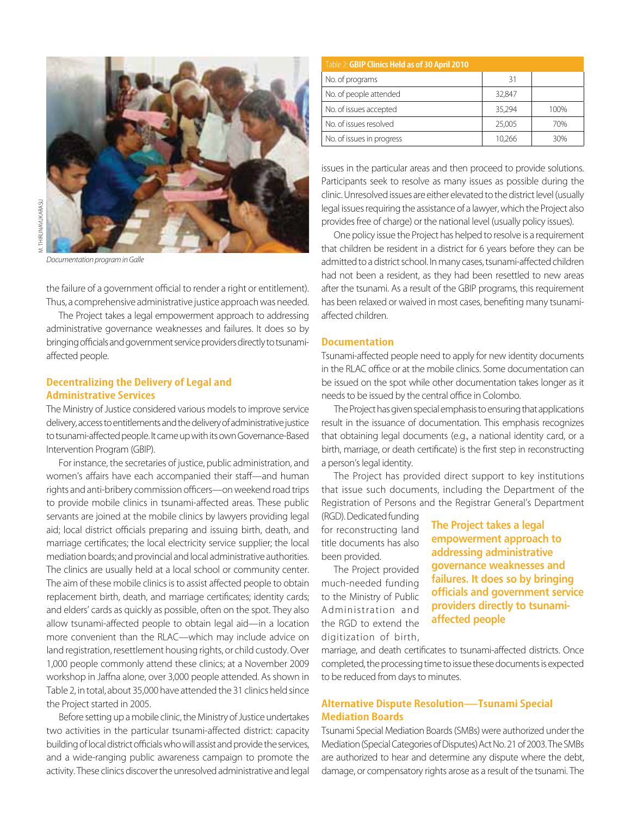

Documentation program in Galle

the failure of a government official to render a right or entitlement). Thus, a comprehensive administrative justice approach was needed.

The Project takes a legal empowerment approach to addressing administrative governance weaknesses and failures. It does so by bringing officials and government service providers directly to tsunamiaffected people.

#### **Decentralizing the Delivery of Legal and Administrative Services**

The Ministry of Justice considered various models to improve service delivery, access to entitlements and the delivery of administrative justice to tsunami-affected people. It came up with its own Governance-Based Intervention Program (GBIP).

For instance, the secretaries of justice, public administration, and women's affairs have each accompanied their staff—and human rights and anti-bribery commission officers—on weekend road trips to provide mobile clinics in tsunami-affected areas. These public servants are joined at the mobile clinics by lawyers providing legal aid; local district officials preparing and issuing birth, death, and marriage certificates; the local electricity service supplier; the local mediation boards; and provincial and local administrative authorities. The clinics are usually held at a local school or community center. The aim of these mobile clinics is to assist affected people to obtain replacement birth, death, and marriage certificates; identity cards; and elders' cards as quickly as possible, often on the spot. They also allow tsunami-affected people to obtain legal aid—in a location more convenient than the RLAC—which may include advice on land registration, resettlement housing rights, or child custody. Over 1,000 people commonly attend these clinics; at a November 2009 workshop in Jaffna alone, over 3,000 people attended. As shown in Table 2, in total, about 35,000 have attended the 31 clinics held since the Project started in 2005.

Before setting up a mobile clinic, the Ministry of Justice undertakes two activities in the particular tsunami-affected district: capacity building of local district officials who will assist and provide the services, and a wide-ranging public awareness campaign to promote the activity. These clinics discover the unresolved administrative and legal

| Table 2: GBIP Clinics Held as of 30 April 2010 |        |      |
|------------------------------------------------|--------|------|
| No. of programs                                | 31     |      |
| No. of people attended                         | 32,847 |      |
| No. of issues accepted                         | 35,294 | 100% |
| No. of issues resolved                         | 25,005 | 70%  |
| No. of issues in progress                      | 10,266 | 30%  |

issues in the particular areas and then proceed to provide solutions. Participants seek to resolve as many issues as possible during the clinic. Unresolved issues are either elevated to the district level (usually legal issues requiring the assistance of a lawyer, which the Project also provides free of charge) or the national level (usually policy issues).

One policy issue the Project has helped to resolve is a requirement that children be resident in a district for 6 years before they can be admitted to a district school. In many cases, tsunami-affected children had not been a resident, as they had been resettled to new areas after the tsunami. As a result of the GBIP programs, this requirement has been relaxed or waived in most cases, benefiting many tsunamiaffected children.

#### **Documentation**

Tsunami-affected people need to apply for new identity documents in the RLAC office or at the mobile clinics. Some documentation can be issued on the spot while other documentation takes longer as it needs to be issued by the central office in Colombo.

The Project has given special emphasis to ensuring that applications result in the issuance of documentation. This emphasis recognizes that obtaining legal documents (e.g., a national identity card, or a birth, marriage, or death certificate) is the first step in reconstructing a person's legal identity.

The Project has provided direct support to key institutions that issue such documents, including the Department of the Registration of Persons and the Registrar General's Department

(RGD). Dedicated funding for reconstructing land title documents has also been provided.

The Project provided much-needed funding to the Ministry of Public Administration and the RGD to extend the digitization of birth, **The Project takes a legal** empowerment approach to addressing administrative **governance weaknesses and** failures. It does so by bringing  providers directly to tsunamiaffected people

marriage, and death certificates to tsunami-affected districts. Once completed, the processing time to issue these documents is expected to be reduced from days to minutes.

#### **Alternative Dispute Resolution—Tsunami Special Mediation Boards**

Tsunami Special Mediation Boards (SMBs) were authorized under the Mediation (Special Categories of Disputes) Act No. 21 of 2003. The SMBs are authorized to hear and determine any dispute where the debt, damage, or compensatory rights arose as a result of the tsunami. The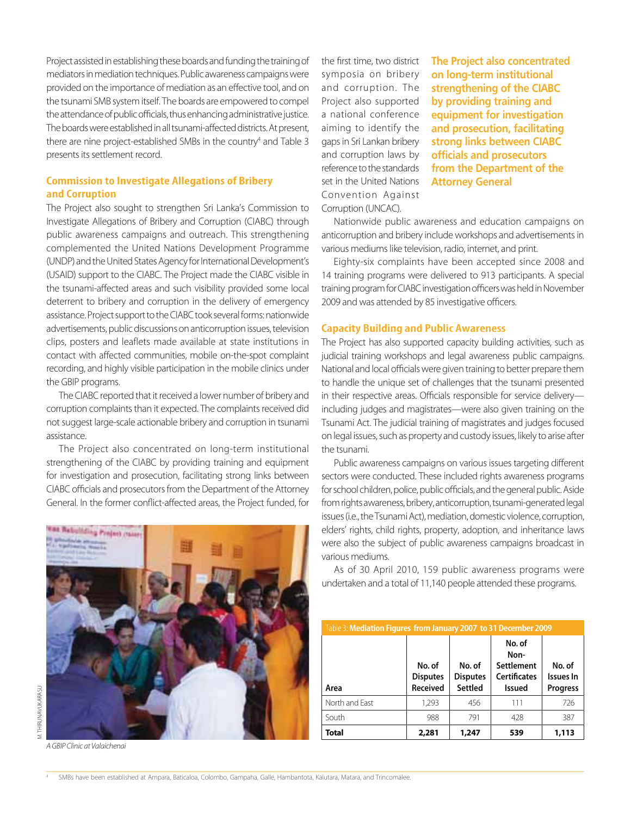Project assisted in establishing these boards and funding the training of mediators in mediation techniques. Public awareness campaigns were provided on the importance of mediation as an effective tool, and on the tsunami SMB system itself. The boards are empowered to compel the attendance of public officials, thus enhancing administrative justice. The boards were established in all tsunami-affected districts. At present, there are nine project-established SMBs in the country<sup>4</sup> and Table 3 presents its settlement record.

#### **Commission to Investigate Allegations of Bribery and Corruption**

The Project also sought to strengthen Sri Lanka's Commission to Investigate Allegations of Bribery and Corruption (CIABC) through public awareness campaigns and outreach. This strengthening complemented the United Nations Development Programme (UNDP) and the United States Agency for International Development's (USAID) support to the CIABC. The Project made the CIABC visible in the tsunami-affected areas and such visibility provided some local deterrent to bribery and corruption in the delivery of emergency assistance. Project support to the CIABC took several forms: nationwide advertisements, public discussions on anticorruption issues, television clips, posters and leaflets made available at state institutions in contact with affected communities, mobile on-the-spot complaint recording, and highly visible participation in the mobile clinics under the GBIP programs.

The CIABC reported that it received a lower number of bribery and corruption complaints than it expected. The complaints received did not suggest large-scale actionable bribery and corruption in tsunami assistance.

The Project also concentrated on long-term institutional strengthening of the CIABC by providing training and equipment for investigation and prosecution, facilitating strong links between CIABC officials and prosecutors from the Department of the Attorney General. In the former conflict-affected areas, the Project funded, for



A GBIP Clinic at Valaichenai

the first time, two district symposia on bribery and corruption. The Project also supported a national conference aiming to identify the gaps in Sri Lankan bribery and corruption laws by reference to the standards set in the United Nations Convention Against Corruption (UNCAC).

**The Project also concentrated**  $\blacksquare$  **ond propertive institutional** strengthening of the CIABC by providing training and equipment for investigation and prosecution, facilitating strong links between CIABC *<u>officials and prosecutors</u>* from the Department of the **Attorney General** 

Nationwide public awareness and education campaigns on anticorruption and bribery include workshops and advertisements in various mediums like television, radio, internet, and print.

Eighty-six complaints have been accepted since 2008 and 14 training programs were delivered to 913 participants. A special training program for CIABC investigation officers was held in November 2009 and was attended by 85 investigative officers.

#### **Capacity Building and Public Awareness**

The Project has also supported capacity building activities, such as judicial training workshops and legal awareness public campaigns. National and local officials were given training to better prepare them to handle the unique set of challenges that the tsunami presented in their respective areas. Officials responsible for service delivery including judges and magistrates—were also given training on the Tsunami Act. The judicial training of magistrates and judges focused on legal issues, such as property and custody issues, likely to arise after the tsunami.

Public awareness campaigns on various issues targeting different sectors were conducted. These included rights awareness programs for school children, police, public officials, and the general public. Aside from rights awareness, bribery, anticorruption, tsunami-generated legal issues (i.e., the Tsunami Act), mediation, domestic violence, corruption, elders' rights, child rights, property, adoption, and inheritance laws were also the subject of public awareness campaigns broadcast in various mediums.

As of 30 April 2010, 159 public awareness programs were undertaken and a total of 11,140 people attended these programs.

| Table 3: Mediation Figures from January 2007 to 31 December 2009 |                                       |                                             |                                                                      |                                        |  |
|------------------------------------------------------------------|---------------------------------------|---------------------------------------------|----------------------------------------------------------------------|----------------------------------------|--|
| Area                                                             | No. of<br><b>Disputes</b><br>Received | No. of<br><b>Disputes</b><br><b>Settled</b> | No. of<br>Non-<br><b>Settlement</b><br><b>Certificates</b><br>Issued | No. of<br>Issues In<br><b>Progress</b> |  |
| North and East                                                   | 1,293                                 | 456                                         | 111                                                                  | 726                                    |  |
| South                                                            | 988                                   | 791                                         | 428                                                                  | 387                                    |  |
| Total                                                            | 2,281                                 | 1,247                                       | 539                                                                  | 1,113                                  |  |

4 SMBs have been established at Ampara, Baticaloa, Colombo, Gampaha, Galle, Hambantota, Kalutara, Matara, and Trincomalee.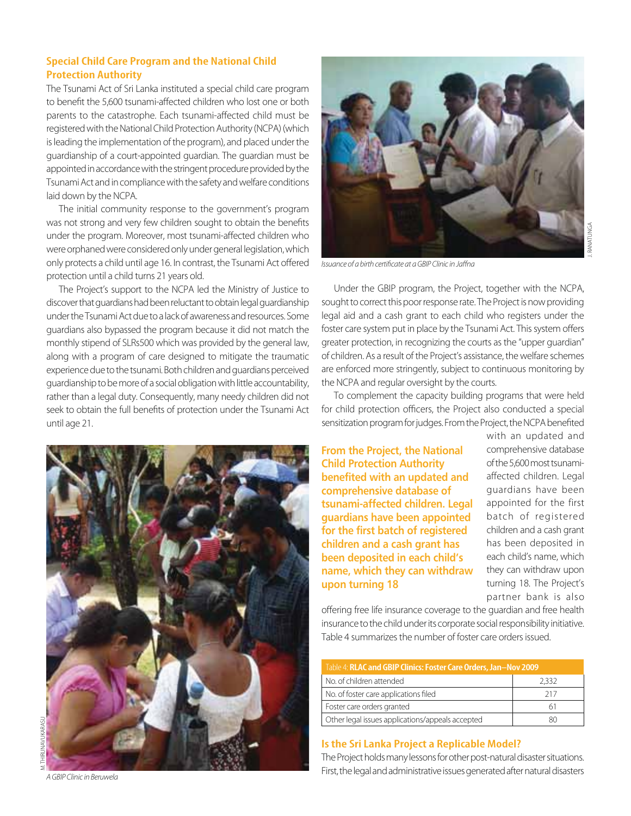#### **Special Child Care Program and the National Child Protection Authority**

The Tsunami Act of Sri Lanka instituted a special child care program to benefit the 5,600 tsunami-affected children who lost one or both parents to the catastrophe. Each tsunami-affected child must be registered with the National Child Protection Authority (NCPA) (which is leading the implementation of the program), and placed under the guardianship of a court-appointed guardian. The guardian must be appointed in accordance with the stringent procedure provided by the Tsunami Act and in compliance with the safety and welfare conditions laid down by the NCPA.

The initial community response to the government's program was not strong and very few children sought to obtain the benefits under the program. Moreover, most tsunami-affected children who were orphaned were considered only under general legislation, which only protects a child until age 16. In contrast, the Tsunami Act offered protection until a child turns 21 years old.

The Project's support to the NCPA led the Ministry of Justice to discover that guardians had been reluctant to obtain legal guardianship under the Tsunami Act due to a lack of awareness and resources. Some guardians also bypassed the program because it did not match the monthly stipend of SLRs500 which was provided by the general law, along with a program of care designed to mitigate the traumatic experience due to the tsunami. Both children and guardians perceived guardianship to be more of a social obligation with little accountability, rather than a legal duty. Consequently, many needy children did not seek to obtain the full benefits of protection under the Tsunami Act until age 21.





Issuance of a birth certificate at a GBIP Clinic in Jaffna

Under the GBIP program, the Project, together with the NCPA, sought to correct this poor response rate. The Project is now providing legal aid and a cash grant to each child who registers under the foster care system put in place by the Tsunami Act. This system offers greater protection, in recognizing the courts as the "upper guardian" of children. As a result of the Project's assistance, the welfare schemes are enforced more stringently, subject to continuous monitoring by the NCPA and regular oversight by the courts.

To complement the capacity building programs that were held for child protection officers, the Project also conducted a special sensitization program for judges. From the Project, the NCPA benefited

**From the Project, the National Child Protection Authority** benefited with an updated and comprehensive database of tsunami-affected children. Legal guardians have been appointed for the first batch of registered children and a cash grant has been deposited in each child's name, which they can withdraw **upon turning 18** 

with an updated and comprehensive database of the 5,600 most tsunamiaffected children. Legal guardians have been appointed for the first batch of registered children and a cash grant has been deposited in each child's name, which they can withdraw upon turning 18. The Project's partner bank is also

offering free life insurance coverage to the guardian and free health insurance to the child under its corporate social responsibility initiative. Table 4 summarizes the number of foster care orders issued.

| Table 4: RLAC and GBIP Clinics: Foster Care Orders, Jan-Nov 2009 |       |  |  |
|------------------------------------------------------------------|-------|--|--|
| No. of children attended                                         | 2.332 |  |  |
| No. of foster care applications filed                            | 217   |  |  |
| Foster care orders granted                                       | h.    |  |  |
| Other legal issues applications/appeals accepted                 |       |  |  |

#### **Is the Sri Lanka Project a Replicable Model?**

The Project holds many lessons for other post-natural disaster situations. A GRIP Clinic in Beruwela **State of the legal and administrative** issues generated after natural disasters A GBIP Clinic in Beruwela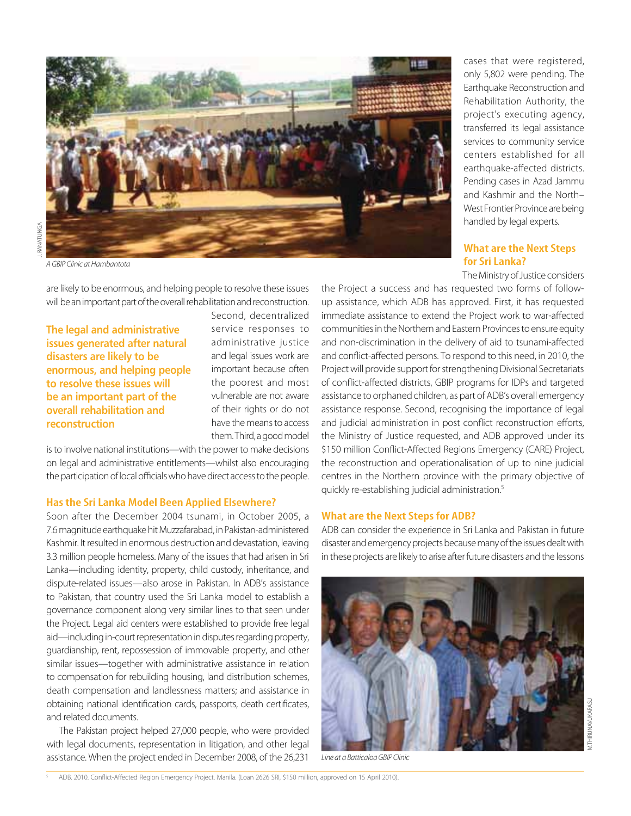

A GBIP Clinic at Hambantota

are likely to be enormous, and helping people to resolve these issues will be an important part of the overall rehabilitation and reconstruction.

The legal and administrative issues generated after natural disasters are likely to be enormous, and helping people to resolve these issues will be an important part of the overall rehabilitation and **reconstruction** 

Second, decentralized service responses to administrative justice and legal issues work are important because often the poorest and most vulnerable are not aware of their rights or do not have the means to access them. Third, a good model

is to involve national institutions—with the power to make decisions on legal and administrative entitlements—whilst also encouraging the participation of local officials who have direct access to the people.

#### **Has the Sri Lanka Model Been Applied Elsewhere?**

Soon after the December 2004 tsunami, in October 2005, a 7.6 magnitude earthquake hit Muzzafarabad, in Pakistan-administered Kashmir. It resulted in enormous destruction and devastation, leaving 3.3 million people homeless. Many of the issues that had arisen in Sri Lanka—including identity, property, child custody, inheritance, and dispute-related issues—also arose in Pakistan. In ADB's assistance to Pakistan, that country used the Sri Lanka model to establish a governance component along very similar lines to that seen under the Project. Legal aid centers were established to provide free legal aid—including in-court representation in disputes regarding property, guardianship, rent, repossession of immovable property, and other similar issues—together with administrative assistance in relation to compensation for rebuilding housing, land distribution schemes, death compensation and landlessness matters; and assistance in obtaining national identification cards, passports, death certificates, and related documents.

The Pakistan project helped 27,000 people, who were provided with legal documents, representation in litigation, and other legal assistance. When the project ended in December 2008, of the 26,231

cases that were registered, only 5,802 were pending. The Earthquake Reconstruction and Rehabilitation Authority, the project's executing agency, transferred its legal assistance services to community service centers established for all earthquake-affected districts. Pending cases in Azad Jammu and Kashmir and the North– West Frontier Province are being handled by legal experts.

#### **What are the Next Steps for Sri Lanka?**

The Ministry of Justice considers

the Project a success and has requested two forms of followup assistance, which ADB has approved. First, it has requested immediate assistance to extend the Project work to war-affected communities in the Northern and Eastern Provinces to ensure equity and non-discrimination in the delivery of aid to tsunami-affected and conflict-affected persons. To respond to this need, in 2010, the Project will provide support for strengthening Divisional Secretariats of conflict-affected districts, GBIP programs for IDPs and targeted assistance to orphaned children, as part of ADB's overall emergency assistance response. Second, recognising the importance of legal and judicial administration in post conflict reconstruction efforts, the Ministry of Justice requested, and ADB approved under its \$150 million Conflict-Affected Regions Emergency (CARE) Project, the reconstruction and operationalisation of up to nine judicial centres in the Northern province with the primary objective of quickly re-establishing judicial administration.<sup>5</sup>

#### **What are the Next Steps for ADB?**

ADB can consider the experience in Sri Lanka and Pakistan in future disaster and emergency projects because many of the issues dealt with in these projects are likely to arise after future disasters and the lessons



Line at a Batticaloa GBIP Clinic